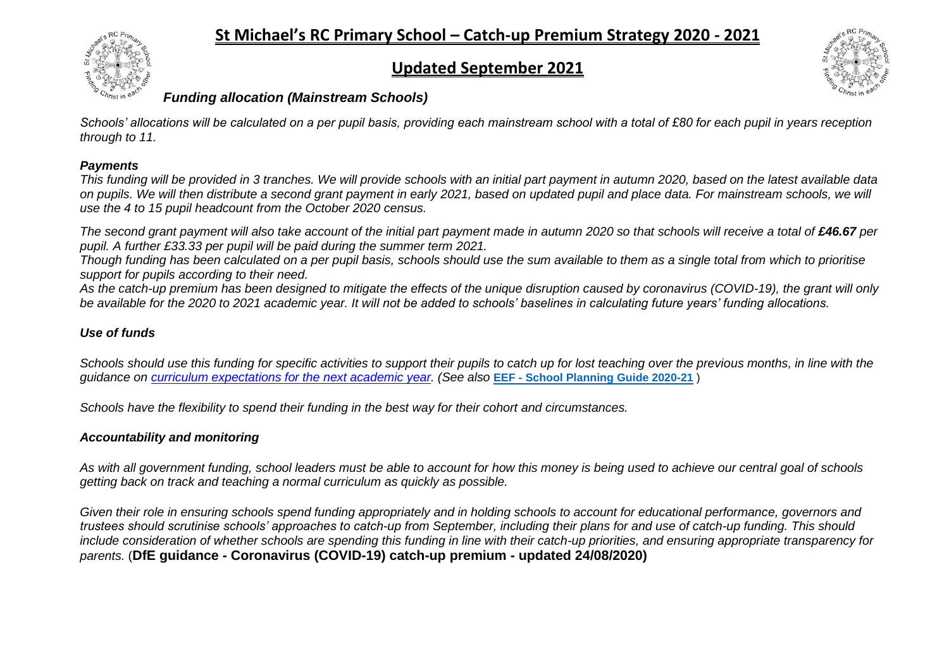# **Updated September 2021**



## *Funding allocation (Mainstream Schools)*

*Schools' allocations will be calculated on a per pupil basis, providing each mainstream school with a total of £80 for each pupil in years reception through to 11.*

### *Payments*

*This funding will be provided in 3 tranches. We will provide schools with an initial part payment in autumn 2020, based on the latest available data on pupils. We will then distribute a second grant payment in early 2021, based on updated pupil and place data. For mainstream schools, we will use the 4 to 15 pupil headcount from the October 2020 census.*

*The second grant payment will also take account of the initial part payment made in autumn 2020 so that schools will receive a total of £46.67 per pupil. A further £33.33 per pupil will be paid during the summer term 2021.*

*Though funding has been calculated on a per pupil basis, schools should use the sum available to them as a single total from which to prioritise support for pupils according to their need.*

*As the catch-up premium has been designed to mitigate the effects of the unique disruption caused by coronavirus (COVID-19), the grant will only be available for the 2020 to 2021 academic year. It will not be added to schools' baselines in calculating future years' funding allocations.*

### *Use of funds*

*Schools should use this funding for specific activities to support their pupils to catch up for lost teaching over the previous months, in line with the guidance on [curriculum expectations for the next academic](https://www.gov.uk/government/publications/actions-for-schools-during-the-coronavirus-outbreak/guidance-for-full-opening-schools#section-3-curriculum-behaviour-and-pastoral-support) year. (See also* **EEF - [School Planning Guide 2020-21](https://educationendowmentfoundation.org.uk/covid-19-resources/guide-to-supporting-schools-planning/)** )

*Schools have the flexibility to spend their funding in the best way for their cohort and circumstances.*

#### *Accountability and monitoring*

*As with all government funding, school leaders must be able to account for how this money is being used to achieve our central goal of schools getting back on track and teaching a normal curriculum as quickly as possible.*

*Given their role in ensuring schools spend funding appropriately and in holding schools to account for educational performance, governors and trustees should scrutinise schools' approaches to catch-up from September, including their plans for and use of catch-up funding. This should include consideration of whether schools are spending this funding in line with their catch-up priorities, and ensuring appropriate transparency for parents.* (**DfE guidance - Coronavirus (COVID-19) catch-up premium - updated 24/08/2020)**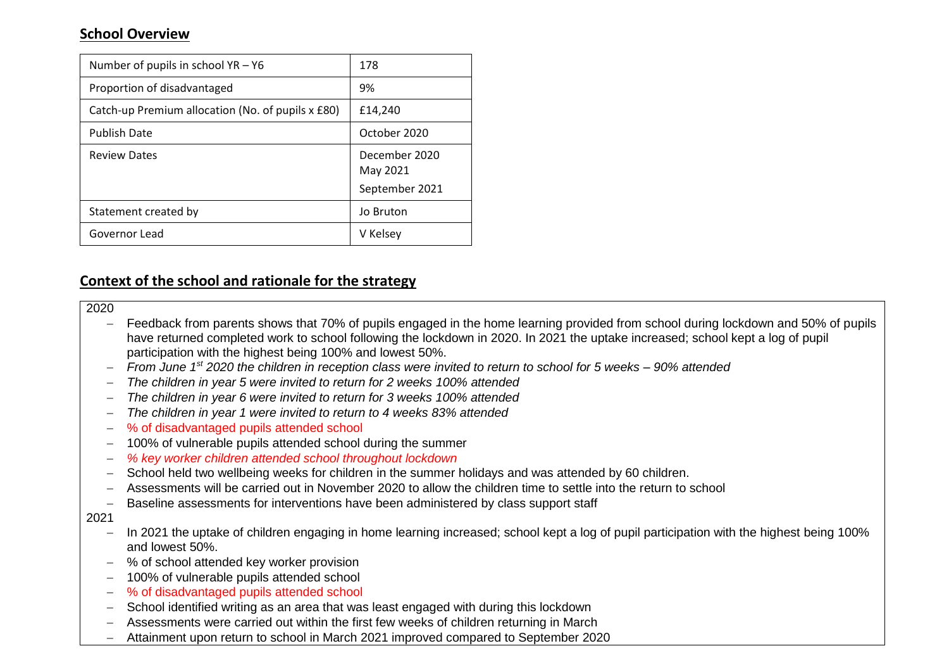## **School Overview**

| Number of pupils in school YR - Y6                | 178                       |
|---------------------------------------------------|---------------------------|
| Proportion of disadvantaged                       | 9%                        |
| Catch-up Premium allocation (No. of pupils x £80) | £14.240                   |
| <b>Publish Date</b>                               | October 2020              |
| <b>Review Dates</b>                               | December 2020<br>May 2021 |
|                                                   | September 2021            |
| Statement created by                              | Jo Bruton                 |
| Governor Lead                                     | V Kelsey                  |

## **Context of the school and rationale for the strategy**

#### 2020

- Feedback from parents shows that 70% of pupils engaged in the home learning provided from school during lockdown and 50% of pupils have returned completed work to school following the lockdown in 2020. In 2021 the uptake increased; school kept a log of pupil participation with the highest being 100% and lowest 50%.
- *From June 1st 2020 the children in reception class were invited to return to school for 5 weeks – 90% attended*
- *The children in year 5 were invited to return for 2 weeks 100% attended*
- *The children in year 6 were invited to return for 3 weeks 100% attended*
- *The children in year 1 were invited to return to 4 weeks 83% attended*
- % of disadvantaged pupils attended school
- 100% of vulnerable pupils attended school during the summer
- *% key worker children attended school throughout lockdown*
- School held two wellbeing weeks for children in the summer holidays and was attended by 60 children.
- Assessments will be carried out in November 2020 to allow the children time to settle into the return to school
- Baseline assessments for interventions have been administered by class support staff

#### 2021

- In 2021 the uptake of children engaging in home learning increased; school kept a log of pupil participation with the highest being 100% and lowest 50%.
- % of school attended key worker provision
- 100% of vulnerable pupils attended school
- % of disadvantaged pupils attended school
- School identified writing as an area that was least engaged with during this lockdown
- Assessments were carried out within the first few weeks of children returning in March
- Attainment upon return to school in March 2021 improved compared to September 2020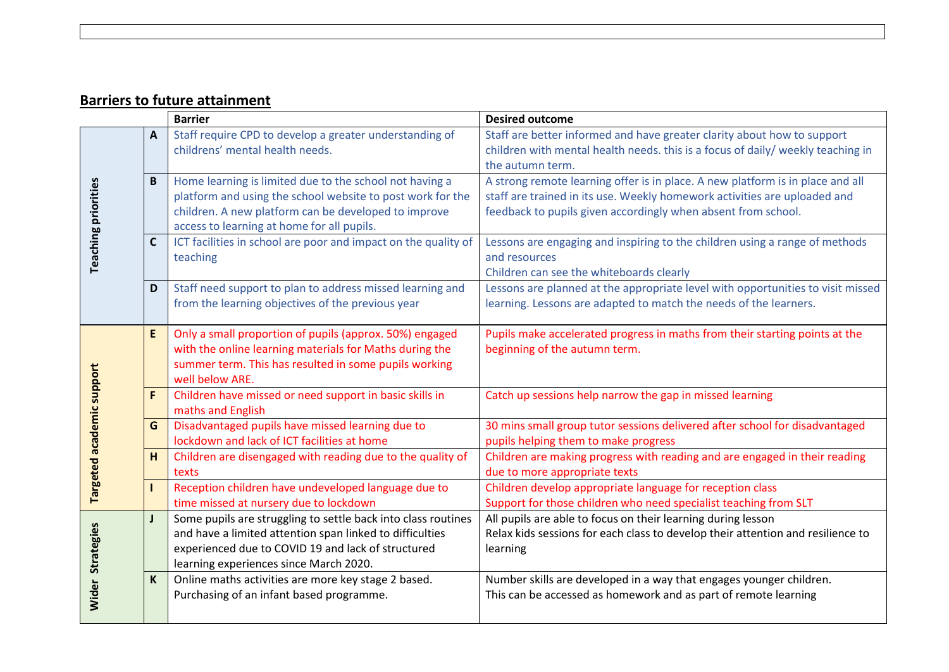# **Barriers to future attainment**

|                    |              | <b>Barrier</b>                                                                                                                                                                                                              | <b>Desired outcome</b>                                                                                                                                                                                                       |  |  |  |  |
|--------------------|--------------|-----------------------------------------------------------------------------------------------------------------------------------------------------------------------------------------------------------------------------|------------------------------------------------------------------------------------------------------------------------------------------------------------------------------------------------------------------------------|--|--|--|--|
|                    | A            | Staff require CPD to develop a greater understanding of<br>childrens' mental health needs.                                                                                                                                  | Staff are better informed and have greater clarity about how to support<br>children with mental health needs. this is a focus of daily/ weekly teaching in<br>the autumn term.                                               |  |  |  |  |
| eaching priorities | B            | Home learning is limited due to the school not having a<br>platform and using the school website to post work for the<br>children. A new platform can be developed to improve<br>access to learning at home for all pupils. | A strong remote learning offer is in place. A new platform is in place and all<br>staff are trained in its use. Weekly homework activities are uploaded and<br>feedback to pupils given accordingly when absent from school. |  |  |  |  |
|                    | $\mathbf{C}$ | ICT facilities in school are poor and impact on the quality of<br>teaching                                                                                                                                                  | Lessons are engaging and inspiring to the children using a range of methods<br>and resources<br>Children can see the whiteboards clearly                                                                                     |  |  |  |  |
|                    | D            | Staff need support to plan to address missed learning and<br>from the learning objectives of the previous year                                                                                                              | Lessons are planned at the appropriate level with opportunities to visit missed<br>learning. Lessons are adapted to match the needs of the learners.                                                                         |  |  |  |  |
|                    | E            | Only a small proportion of pupils (approx. 50%) engaged<br>with the online learning materials for Maths during the<br>summer term. This has resulted in some pupils working<br>well below ARE.                              | Pupils make accelerated progress in maths from their starting points at the<br>beginning of the autumn term.                                                                                                                 |  |  |  |  |
| academic support   | $\mathsf{F}$ | Children have missed or need support in basic skills in<br>maths and English                                                                                                                                                | Catch up sessions help narrow the gap in missed learning                                                                                                                                                                     |  |  |  |  |
|                    | G            | Disadvantaged pupils have missed learning due to<br>lockdown and lack of ICT facilities at home                                                                                                                             | 30 mins small group tutor sessions delivered after school for disadvantaged<br>pupils helping them to make progress                                                                                                          |  |  |  |  |
|                    | H            | Children are disengaged with reading due to the quality of<br>texts                                                                                                                                                         | Children are making progress with reading and are engaged in their reading<br>due to more appropriate texts                                                                                                                  |  |  |  |  |
| <b>Targeted</b>    | п            | Reception children have undeveloped language due to<br>time missed at nursery due to lockdown                                                                                                                               | Children develop appropriate language for reception class<br>Support for those children who need specialist teaching from SLT                                                                                                |  |  |  |  |
| Strategies         | $\mathbf{I}$ | Some pupils are struggling to settle back into class routines<br>and have a limited attention span linked to difficulties<br>experienced due to COVID 19 and lack of structured<br>learning experiences since March 2020.   | All pupils are able to focus on their learning during lesson<br>Relax kids sessions for each class to develop their attention and resilience to<br>learning                                                                  |  |  |  |  |
| <b>Wider</b>       | $\mathsf{K}$ | Online maths activities are more key stage 2 based.<br>Purchasing of an infant based programme.                                                                                                                             | Number skills are developed in a way that engages younger children.<br>This can be accessed as homework and as part of remote learning                                                                                       |  |  |  |  |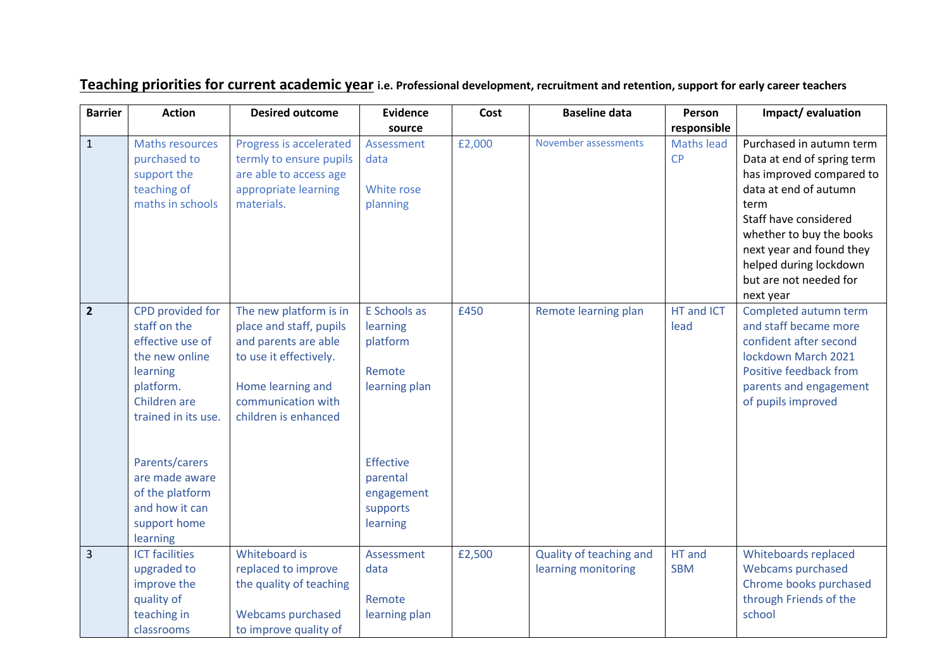| <b>Barrier</b> | <b>Action</b>                    | <b>Desired outcome</b>                          | <b>Evidence</b>      | Cost   | <b>Baseline data</b>    | Person            | Impact/evaluation                               |
|----------------|----------------------------------|-------------------------------------------------|----------------------|--------|-------------------------|-------------------|-------------------------------------------------|
|                |                                  |                                                 | source               |        |                         | responsible       |                                                 |
| $\mathbf{1}$   | <b>Maths resources</b>           | Progress is accelerated                         | Assessment           | £2,000 | November assessments    | <b>Maths lead</b> | Purchased in autumn term                        |
|                | purchased to                     | termly to ensure pupils                         | data                 |        |                         | <b>CP</b>         | Data at end of spring term                      |
|                | support the                      | are able to access age                          |                      |        |                         |                   | has improved compared to                        |
|                | teaching of                      | appropriate learning                            | White rose           |        |                         |                   | data at end of autumn                           |
|                | maths in schools                 | materials.                                      | planning             |        |                         |                   | term                                            |
|                |                                  |                                                 |                      |        |                         |                   | Staff have considered                           |
|                |                                  |                                                 |                      |        |                         |                   | whether to buy the books                        |
|                |                                  |                                                 |                      |        |                         |                   | next year and found they                        |
|                |                                  |                                                 |                      |        |                         |                   | helped during lockdown                          |
|                |                                  |                                                 |                      |        |                         |                   | but are not needed for                          |
|                |                                  |                                                 |                      |        |                         |                   | next year                                       |
| $\overline{2}$ | CPD provided for<br>staff on the | The new platform is in                          | E Schools as         | £450   | Remote learning plan    | HT and ICT        | Completed autumn term                           |
|                | effective use of                 | place and staff, pupils<br>and parents are able | learning<br>platform |        |                         | lead              | and staff became more<br>confident after second |
|                | the new online                   | to use it effectively.                          |                      |        |                         |                   | lockdown March 2021                             |
|                | learning                         |                                                 | Remote               |        |                         |                   | Positive feedback from                          |
|                | platform.                        | Home learning and                               | learning plan        |        |                         |                   | parents and engagement                          |
|                | Children are                     | communication with                              |                      |        |                         |                   | of pupils improved                              |
|                | trained in its use.              | children is enhanced                            |                      |        |                         |                   |                                                 |
|                |                                  |                                                 |                      |        |                         |                   |                                                 |
|                |                                  |                                                 |                      |        |                         |                   |                                                 |
|                | Parents/carers                   |                                                 | <b>Effective</b>     |        |                         |                   |                                                 |
|                | are made aware                   |                                                 | parental             |        |                         |                   |                                                 |
|                | of the platform                  |                                                 | engagement           |        |                         |                   |                                                 |
|                | and how it can                   |                                                 | supports             |        |                         |                   |                                                 |
|                | support home                     |                                                 | learning             |        |                         |                   |                                                 |
|                | learning                         |                                                 |                      |        |                         |                   |                                                 |
| $\overline{3}$ | <b>ICT</b> facilities            | Whiteboard is                                   | Assessment           | £2,500 | Quality of teaching and | HT and            | Whiteboards replaced                            |
|                | upgraded to                      | replaced to improve                             | data                 |        | learning monitoring     | <b>SBM</b>        | <b>Webcams purchased</b>                        |
|                | improve the                      | the quality of teaching                         |                      |        |                         |                   | Chrome books purchased                          |
|                | quality of                       |                                                 | Remote               |        |                         |                   | through Friends of the                          |
|                | teaching in                      | <b>Webcams purchased</b>                        | learning plan        |        |                         |                   | school                                          |
|                | classrooms                       | to improve quality of                           |                      |        |                         |                   |                                                 |

# **Teaching priorities for current academic year i.e. Professional development, recruitment and retention, support for early career teachers**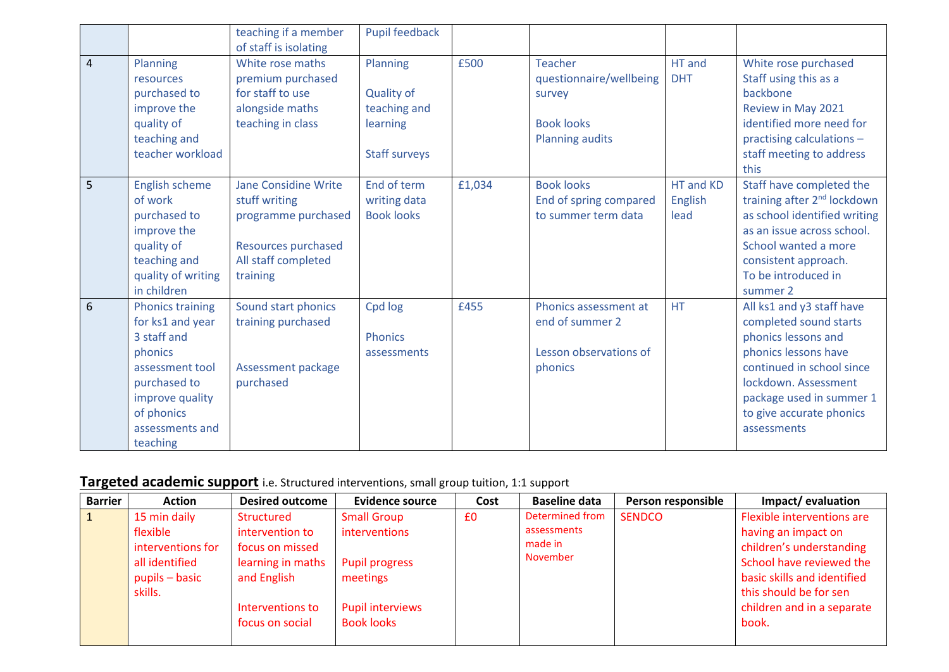|                |                                                                                                                                                                          | teaching if a member<br>of staff is isolating                                                                          | Pupil feedback                                                                    |        |                                                                                                    |                              |                                                                                                                                                                                                                                |
|----------------|--------------------------------------------------------------------------------------------------------------------------------------------------------------------------|------------------------------------------------------------------------------------------------------------------------|-----------------------------------------------------------------------------------|--------|----------------------------------------------------------------------------------------------------|------------------------------|--------------------------------------------------------------------------------------------------------------------------------------------------------------------------------------------------------------------------------|
| $\overline{4}$ | Planning<br>resources<br>purchased to<br>improve the<br>quality of<br>teaching and<br>teacher workload                                                                   | White rose maths<br>premium purchased<br>for staff to use<br>alongside maths<br>teaching in class                      | Planning<br><b>Quality of</b><br>teaching and<br>learning<br><b>Staff surveys</b> | £500   | <b>Teacher</b><br>questionnaire/wellbeing<br>survey<br><b>Book looks</b><br><b>Planning audits</b> | HT and<br><b>DHT</b>         | White rose purchased<br>Staff using this as a<br>backbone<br>Review in May 2021<br>identified more need for<br>practising calculations -<br>staff meeting to address<br>this                                                   |
| 5              | <b>English scheme</b><br>of work<br>purchased to<br>improve the<br>quality of<br>teaching and<br>quality of writing<br>in children                                       | Jane Considine Write<br>stuff writing<br>programme purchased<br>Resources purchased<br>All staff completed<br>training | End of term<br>writing data<br><b>Book looks</b>                                  | £1,034 | <b>Book looks</b><br>End of spring compared<br>to summer term data                                 | HT and KD<br>English<br>lead | Staff have completed the<br>training after 2 <sup>nd</sup> lockdown<br>as school identified writing<br>as an issue across school.<br>School wanted a more<br>consistent approach.<br>To be introduced in<br>summer 2           |
| 6              | <b>Phonics training</b><br>for ks1 and year<br>3 staff and<br>phonics<br>assessment tool<br>purchased to<br>improve quality<br>of phonics<br>assessments and<br>teaching | Sound start phonics<br>training purchased<br>Assessment package<br>purchased                                           | Cpd log<br><b>Phonics</b><br>assessments                                          | £455   | Phonics assessment at<br>end of summer 2<br>Lesson observations of<br>phonics                      | <b>HT</b>                    | All ks1 and y3 staff have<br>completed sound starts<br>phonics lessons and<br>phonics lessons have<br>continued in school since<br>lockdown. Assessment<br>package used in summer 1<br>to give accurate phonics<br>assessments |

# **Targeted academic support** i.e. Structured interventions, small group tuition, 1:1 support

| <b>Barrier</b> | <b>Action</b>     | <b>Desired outcome</b> | <b>Evidence source</b>  | Cost | <b>Baseline data</b>   | Person responsible | Impact/evaluation           |
|----------------|-------------------|------------------------|-------------------------|------|------------------------|--------------------|-----------------------------|
|                | 15 min daily      | Structured             | <b>Small Group</b>      | £0   | <b>Determined from</b> | <b>SENDCO</b>      | Flexible interventions are  |
|                | flexible          | intervention to        | interventions           |      | assessments            |                    | having an impact on         |
|                | interventions for | focus on missed        |                         |      | made in                |                    | children's understanding    |
|                | all identified    | learning in maths      | <b>Pupil progress</b>   |      | November               |                    | School have reviewed the    |
|                | pupils – basic    | and English            | meetings                |      |                        |                    | basic skills and identified |
|                | skills.           |                        |                         |      |                        |                    | this should be for sen      |
|                |                   | Interventions to       | <b>Pupil interviews</b> |      |                        |                    | children and in a separate  |
|                |                   | focus on social        | <b>Book looks</b>       |      |                        |                    | book.                       |
|                |                   |                        |                         |      |                        |                    |                             |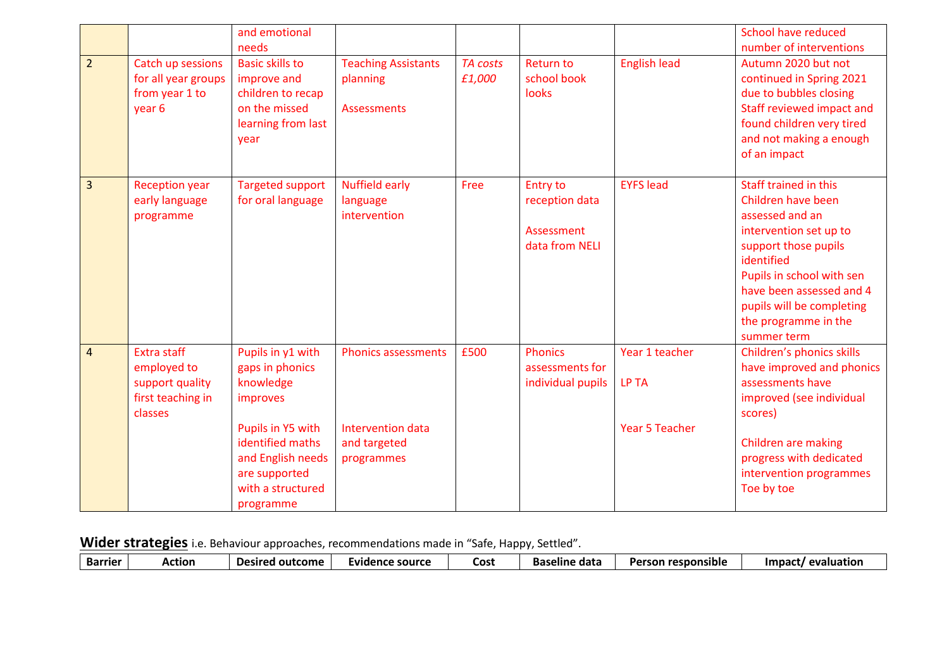|                |                                                                                      | and emotional<br>needs                                                                                                                                                         |                                                                               |                           |                                                                   |                                                         | School have reduced<br>number of interventions                                                                                                                                                                                                              |
|----------------|--------------------------------------------------------------------------------------|--------------------------------------------------------------------------------------------------------------------------------------------------------------------------------|-------------------------------------------------------------------------------|---------------------------|-------------------------------------------------------------------|---------------------------------------------------------|-------------------------------------------------------------------------------------------------------------------------------------------------------------------------------------------------------------------------------------------------------------|
| $\overline{2}$ | Catch up sessions<br>for all year groups<br>from year 1 to<br>year 6                 | <b>Basic skills to</b><br>improve and<br>children to recap<br>on the missed<br>learning from last<br>year                                                                      | <b>Teaching Assistants</b><br>planning<br><b>Assessments</b>                  | <b>TA costs</b><br>£1,000 | <b>Return to</b><br>school book<br>looks                          | <b>English lead</b>                                     | Autumn 2020 but not<br>continued in Spring 2021<br>due to bubbles closing<br>Staff reviewed impact and<br>found children very tired<br>and not making a enough<br>of an impact                                                                              |
| $\overline{3}$ | <b>Reception year</b><br>early language<br>programme                                 | <b>Targeted support</b><br>for oral language                                                                                                                                   | <b>Nuffield early</b><br>language<br>intervention                             | Free                      | <b>Entry to</b><br>reception data<br>Assessment<br>data from NELI | <b>EYFS lead</b>                                        | Staff trained in this<br>Children have been<br>assessed and an<br>intervention set up to<br>support those pupils<br>identified<br>Pupils in school with sen<br>have been assessed and 4<br>pupils will be completing<br>the programme in the<br>summer term |
| $\overline{4}$ | <b>Extra staff</b><br>employed to<br>support quality<br>first teaching in<br>classes | Pupils in y1 with<br>gaps in phonics<br>knowledge<br>improves<br>Pupils in Y5 with<br>identified maths<br>and English needs<br>are supported<br>with a structured<br>programme | <b>Phonics assessments</b><br>Intervention data<br>and targeted<br>programmes | £500                      | <b>Phonics</b><br>assessments for<br>individual pupils            | Year 1 teacher<br><b>LP TA</b><br><b>Year 5 Teacher</b> | Children's phonics skills<br>have improved and phonics<br>assessments have<br>improved (see individual<br>scores)<br>Children are making<br>progress with dedicated<br>intervention programmes<br>Toe by toe                                                |

**Wider strategies** i.e. Behaviour approaches, recommendations made in "Safe, Happy, Settled".

| <b>Barrier</b> | Action | outcome<br><b>Desired</b> | Evidence source | COS. | data<br><b>Baseline</b> | Person responsible | evaluation<br>Impact/ |
|----------------|--------|---------------------------|-----------------|------|-------------------------|--------------------|-----------------------|
|----------------|--------|---------------------------|-----------------|------|-------------------------|--------------------|-----------------------|